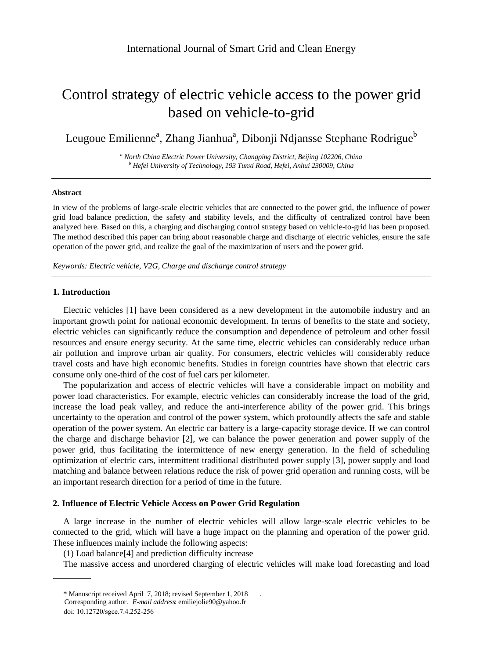# Control strategy of electric vehicle access to the power grid based on vehicle-to-grid

Leugoue Emilienne<sup>a</sup>, Zhang Jianhua<sup>a</sup>, Dibonji Ndjansse Stephane Rodrigue<sup>b</sup>

*<sup>a</sup> North China Electric Power University, Changping District, Beijing 102206, China <sup>b</sup> Hefei University of Technology, 193 Tunxi Road, Hefei, Anhui 230009, China*

#### **Abstract**

In view of the problems of large-scale electric vehicles that are connected to the power grid, the influence of power grid load balance prediction, the safety and stability levels, and the difficulty of centralized control have been analyzed here. Based on this, a charging and discharging control strategy based on vehicle-to-grid has been proposed. The method described this paper can bring about reasonable charge and discharge of electric vehicles, ensure the safe operation of the power grid, and realize the goal of the maximization of users and the power grid.

*Keywords: Electric vehicle, V2G, Charge and discharge control strategy*

## **1. Introduction**

Electric vehicles [1] have been considered as a new development in the automobile industry and an important growth point for national economic development. In terms of benefits to the state and society, electric vehicles can significantly reduce the consumption and dependence of petroleum and other fossil resources and ensure energy security. At the same time, electric vehicles can considerably reduce urban air pollution and improve urban air quality. For consumers, electric vehicles will considerably reduce travel costs and have high economic benefits. Studies in foreign countries have shown that electric cars consume only one-third of the cost of fuel cars per kilometer.

The popularization and access of electric vehicles will have a considerable impact on mobility and power load characteristics. For example, electric vehicles can considerably increase the load of the grid, increase the load peak valley, and reduce the anti-interference ability of the power grid. This brings uncertainty to the operation and control of the power system, which profoundly affects the safe and stable operation of the power system. An electric car battery is a large-capacity storage device. If we can control the charge and discharge behavior [2], we can balance the power generation and power supply of the power grid, thus facilitating the intermittence of new energy generation. In the field of scheduling optimization of electric cars, intermittent traditional distributed power supply [3], power supply and load matching and balance between relations reduce the risk of power grid operation and running costs, will be an important research direction for a period of time in the future.

### **2. Influence of E lectric Vehicle Access on P ower Grid Regulation**

A large increase in the number of electric vehicles will allow large-scale electric vehicles to be connected to the grid, which will have a huge impact on the planning and operation of the power grid. These influences mainly include the following aspects:

(1) Load balance[4] and prediction difficulty increase

The massive access and unordered charging of electric vehicles will make load forecasting and load

<sup>\*</sup> Manuscript received April 7, 2018; revised September 1, 2018 .

*E*-*mail address*: emiliejolie90@yahoo.fr Corresponding author.

doi: 10.12720/sgce.7.4.252-256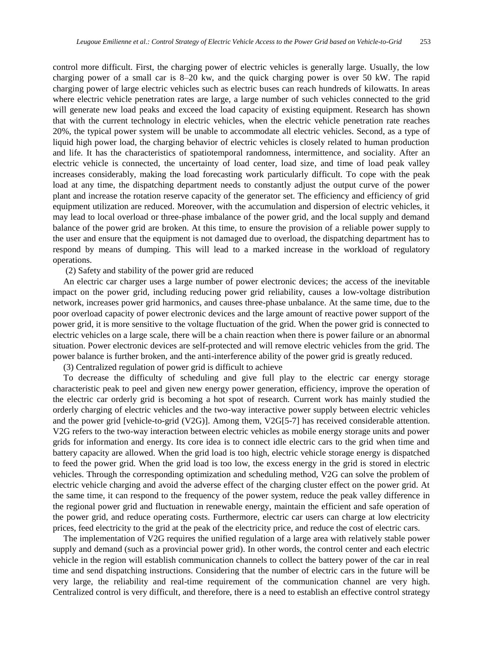control more difficult. First, the charging power of electric vehicles is generally large. Usually, the low charging power of a small car is 8–20 kw, and the quick charging power is over 50 kW. The rapid charging power of large electric vehicles such as electric buses can reach hundreds of kilowatts. In areas where electric vehicle penetration rates are large, a large number of such vehicles connected to the grid will generate new load peaks and exceed the load capacity of existing equipment. Research has shown that with the current technology in electric vehicles, when the electric vehicle penetration rate reaches 20%, the typical power system will be unable to accommodate all electric vehicles. Second, as a type of liquid high power load, the charging behavior of electric vehicles is closely related to human production and life. It has the characteristics of spatiotemporal randomness, intermittence, and sociality. After an electric vehicle is connected, the uncertainty of load center, load size, and time of load peak valley increases considerably, making the load forecasting work particularly difficult. To cope with the peak load at any time, the dispatching department needs to constantly adjust the output curve of the power plant and increase the rotation reserve capacity of the generator set. The efficiency and efficiency of grid equipment utilization are reduced. Moreover, with the accumulation and dispersion of electric vehicles, it may lead to local overload or three-phase imbalance of the power grid, and the local supply and demand balance of the power grid are broken. At this time, to ensure the provision of a reliable power supply to the user and ensure that the equipment is not damaged due to overload, the dispatching department has to respond by means of dumping. This will lead to a marked increase in the workload of regulatory operations.

(2) Safety and stability of the power grid are reduced

An electric car charger uses a large number of power electronic devices; the access of the inevitable impact on the power grid, including reducing power grid reliability, causes a low-voltage distribution network, increases power grid harmonics, and causes three-phase unbalance. At the same time, due to the poor overload capacity of power electronic devices and the large amount of reactive power support of the power grid, it is more sensitive to the voltage fluctuation of the grid. When the power grid is connected to electric vehicles on a large scale, there will be a chain reaction when there is power failure or an abnormal situation. Power electronic devices are self-protected and will remove electric vehicles from the grid. The power balance is further broken, and the anti-interference ability of the power grid is greatly reduced.

(3) Centralized regulation of power grid is difficult to achieve

To decrease the difficulty of scheduling and give full play to the electric car energy storage characteristic peak to peel and given new energy power generation, efficiency, improve the operation of the electric car orderly grid is becoming a hot spot of research. Current work has mainly studied the orderly charging of electric vehicles and the two-way interactive power supply between electric vehicles and the power grid [vehicle-to-grid (V2G)]. Among them, V2G[5-7] has received considerable attention. V2G refers to the two-way interaction between electric vehicles as mobile energy storage units and power grids for information and energy. Its core idea is to connect idle electric cars to the grid when time and battery capacity are allowed. When the grid load is too high, electric vehicle storage energy is dispatched to feed the power grid. When the grid load is too low, the excess energy in the grid is stored in electric vehicles. Through the corresponding optimization and scheduling method, V2G can solve the problem of electric vehicle charging and avoid the adverse effect of the charging cluster effect on the power grid. At the same time, it can respond to the frequency of the power system, reduce the peak valley difference in the regional power grid and fluctuation in renewable energy, maintain the efficient and safe operation of the power grid, and reduce operating costs. Furthermore, electric car users can charge at low electricity prices, feed electricity to the grid at the peak of the electricity price, and reduce the cost of electric cars.

The implementation of V2G requires the unified regulation of a large area with relatively stable power supply and demand (such as a provincial power grid). In other words, the control center and each electric vehicle in the region will establish communication channels to collect the battery power of the car in real time and send dispatching instructions. Considering that the number of electric cars in the future will be very large, the reliability and real-time requirement of the communication channel are very high. Centralized control is very difficult, and therefore, there is a need to establish an effective control strategy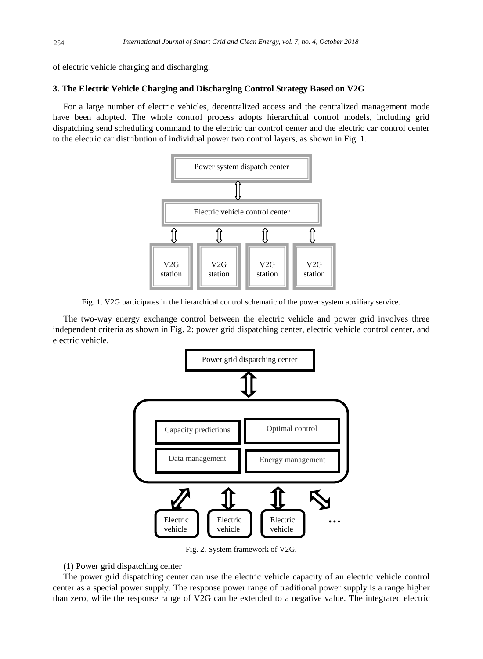of electric vehicle charging and discharging.

### **3. The Electric Vehicle Charging and Discharging Control Strategy Based on V2G**

For a large number of electric vehicles, decentralized access and the centralized management mode have been adopted. The whole control process adopts hierarchical control models, including grid dispatching send scheduling command to the electric car control center and the electric car control center to the electric car distribution of individual power two control layers, as shown in Fig. 1.



Fig. 1. V2G participates in the hierarchical control schematic of the power system auxiliary service.

The two-way energy exchange control between the electric vehicle and power grid involves three independent criteria as shown in Fig. 2: power grid dispatching center, electric vehicle control center, and electric vehicle.



Fig. 2. System framework of V2G.

(1) Power grid dispatching center

The power grid dispatching center can use the electric vehicle capacity of an electric vehicle control center as a special power supply. The response power range of traditional power supply is a range higher than zero, while the response range of V2G can be extended to a negative value. The integrated electric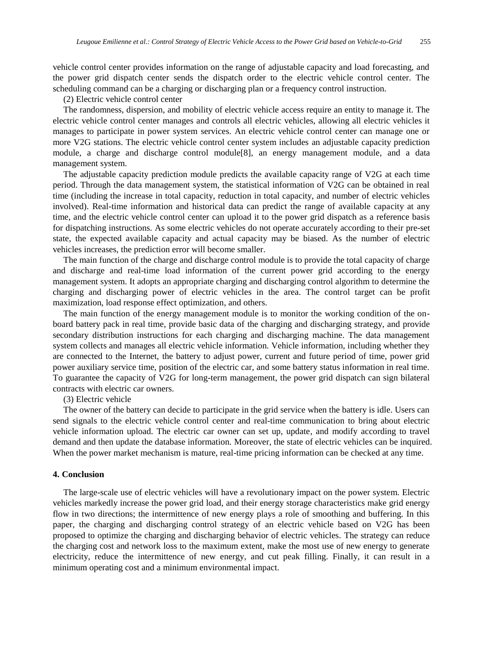vehicle control center provides information on the range of adjustable capacity and load forecasting, and the power grid dispatch center sends the dispatch order to the electric vehicle control center. The scheduling command can be a charging or discharging plan or a frequency control instruction.

(2) Electric vehicle control center

The randomness, dispersion, and mobility of electric vehicle access require an entity to manage it. The electric vehicle control center manages and controls all electric vehicles, allowing all electric vehicles it manages to participate in power system services. An electric vehicle control center can manage one or more V2G stations. The electric vehicle control center system includes an adjustable capacity prediction module, a charge and discharge control module[8], an energy management module, and a data management system.

The adjustable capacity prediction module predicts the available capacity range of V2G at each time period. Through the data management system, the statistical information of V2G can be obtained in real time (including the increase in total capacity, reduction in total capacity, and number of electric vehicles involved). Real-time information and historical data can predict the range of available capacity at any time, and the electric vehicle control center can upload it to the power grid dispatch as a reference basis for dispatching instructions. As some electric vehicles do not operate accurately according to their pre-set state, the expected available capacity and actual capacity may be biased. As the number of electric vehicles increases, the prediction error will become smaller.

The main function of the charge and discharge control module is to provide the total capacity of charge and discharge and real-time load information of the current power grid according to the energy management system. It adopts an appropriate charging and discharging control algorithm to determine the charging and discharging power of electric vehicles in the area. The control target can be profit maximization, load response effect optimization, and others.

The main function of the energy management module is to monitor the working condition of the onboard battery pack in real time, provide basic data of the charging and discharging strategy, and provide secondary distribution instructions for each charging and discharging machine. The data management system collects and manages all electric vehicle information. Vehicle information, including whether they are connected to the Internet, the battery to adjust power, current and future period of time, power grid power auxiliary service time, position of the electric car, and some battery status information in real time. To guarantee the capacity of V2G for long-term management, the power grid dispatch can sign bilateral contracts with electric car owners.

(3) Electric vehicle

The owner of the battery can decide to participate in the grid service when the battery is idle. Users can send signals to the electric vehicle control center and real-time communication to bring about electric vehicle information upload. The electric car owner can set up, update, and modify according to travel demand and then update the database information. Moreover, the state of electric vehicles can be inquired. When the power market mechanism is mature, real-time pricing information can be checked at any time.

### **4. Conclusion**

The large-scale use of electric vehicles will have a revolutionary impact on the power system. Electric vehicles markedly increase the power grid load, and their energy storage characteristics make grid energy flow in two directions; the intermittence of new energy plays a role of smoothing and buffering. In this paper, the charging and discharging control strategy of an electric vehicle based on V2G has been proposed to optimize the charging and discharging behavior of electric vehicles. The strategy can reduce the charging cost and network loss to the maximum extent, make the most use of new energy to generate electricity, reduce the intermittence of new energy, and cut peak filling. Finally, it can result in a minimum operating cost and a minimum environmental impact.